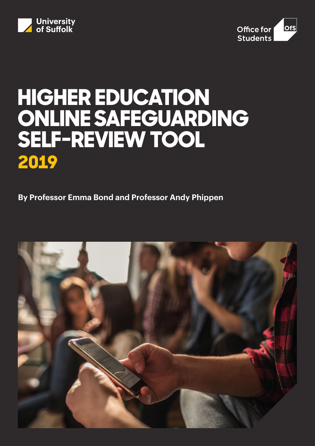



# **HIGHER EDUCATION ONLINE SAFEGUARDING SELF-REVIEW TOOL 2019**

**By Professor Emma Bond and Professor Andy Phippen** 

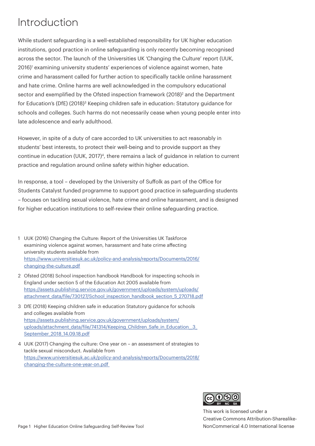## Introduction

While student safeguarding is a well-established responsibility for UK higher education institutions, good practice in online safeguarding is only recently becoming recognised across the sector. The launch of the Universities UK 'Changing the Culture' report (UUK, 2016)<sup>1</sup> examining university students' experiences of violence against women, hate crime and harassment called for further action to specifically tackle online harassment and hate crime. Online harms are well acknowledged in the compulsory educational sector and exemplified by the Ofsted inspection framework (2018)<sup>2</sup> and the Department for Education's (DfE) (2018)<sup>3</sup> Keeping children safe in education: Statutory guidance for schools and colleges. Such harms do not necessarily cease when young people enter into late adolescence and early adulthood.

However, in spite of a duty of care accorded to UK universities to act reasonably in students' best interests, to protect their well-being and to provide support as they continue in education (UUK, 2017)<sup>4</sup>, there remains a lack of guidance in relation to current practice and regulation around online safety within higher education.

In response, a tool – developed by the University of Suffolk as part of the Office for Students Catalyst funded programme to support good practice in safeguarding students – focuses on tackling sexual violence, hate crime and online harassment, and is designed for higher education institutions to self-review their online safeguarding practice.

- 1 UUK (2016) Changing the Culture: Report of the Universities UK Taskforce examining violence against women, harassment and hate crime affecting university students available from [https://www.universitiesuk.ac.uk/policy-and-analysis/reports/Documents/2016/](https://www.universitiesuk.ac.uk/policy-and-analysis/reports/Documents/2016/changing-the-culture.pdf) [changing-the-culture.pdf](https://www.universitiesuk.ac.uk/policy-and-analysis/reports/Documents/2016/changing-the-culture.pdf)
- 2 Ofsted (2018) School inspection handbook Handbook for inspecting schools in England under section 5 of the Education Act 2005 available from [https://assets.publishing.service.gov.uk/government/uploads/system/uploads/](https://assets.publishing.service.gov.uk/government/uploads/system/uploads/attachment_data/file/730127/School_inspection_handbook_section_5_270718.pdf) [attachment\\_data/file/730127/School\\_inspection\\_handbook\\_section\\_5\\_270718.pdf](https://assets.publishing.service.gov.uk/government/uploads/system/uploads/attachment_data/file/730127/School_inspection_handbook_section_5_270718.pdf)
- 3 DfE (2018) Keeping children safe in education Statutory guidance for schools and colleges available from [https://assets.publishing.service.gov.uk/government/uploads/system/](https://assets.publishing.service.gov.uk/government/uploads/system/uploads/attachment_data/file/741314/Keeping_Children_Safe_in_Education__3_September_2018_14.09.18.pdf) uploads/attachment\_data/file/741314/Keeping\_Children\_Safe\_in\_Education\_3\_ [September\\_2018\\_14.09.18.pdf](https://assets.publishing.service.gov.uk/government/uploads/system/uploads/attachment_data/file/741314/Keeping_Children_Safe_in_Education__3_September_2018_14.09.18.pdf)
- 4 UUK (2017) Changing the culture: One year on an assessment of strategies to tackle sexual misconduct. Available from [https://www.universitiesuk.ac.uk/policy-and-analysis/reports/Documents/2018/](https://www.universitiesuk.ac.uk/policy-and-analysis/reports/Documents/2018/changing-the-culture-one-year-on.pdf) [changing-the-culture-one-year-on.pdf](https://www.universitiesuk.ac.uk/policy-and-analysis/reports/Documents/2018/changing-the-culture-one-year-on.pdf)



This work is licensed under a Creative Commons Attribution-Sharealike-NonCommerical 4.0 International license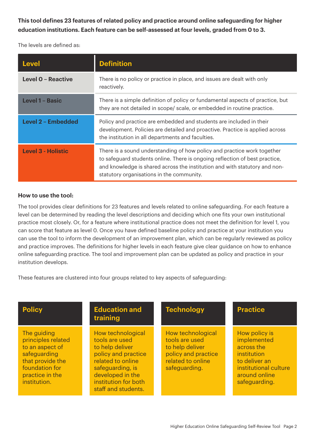**This tool defines 23 features of related policy and practice around online safeguarding for higher education institutions. Each feature can be self-assessed at four levels, graded from 0 to 3.** 

The levels are defined as:

| <b>Level</b>              | <b>Definition</b>                                                                                                                                                                                                                                                                 |
|---------------------------|-----------------------------------------------------------------------------------------------------------------------------------------------------------------------------------------------------------------------------------------------------------------------------------|
| <b>Level O - Reactive</b> | There is no policy or practice in place, and issues are dealt with only<br>reactively.                                                                                                                                                                                            |
| <b>Level 1 - Basic</b>    | There is a simple definition of policy or fundamental aspects of practice, but<br>they are not detailed in scope/ scale, or embedded in routine practice.                                                                                                                         |
| Level 2 - Embedded        | Policy and practice are embedded and students are included in their<br>development. Policies are detailed and proactive. Practice is applied across<br>the institution in all departments and faculties.                                                                          |
| <b>Level 3 - Holistic</b> | There is a sound understanding of how policy and practice work together<br>to safeguard students online. There is ongoing reflection of best practice,<br>and knowledge is shared across the institution and with statutory and non-<br>statutory organisations in the community. |

### **How to use the tool:**

The tool provides clear definitions for 23 features and levels related to online safeguarding. For each feature a level can be determined by reading the level descriptions and deciding which one fits your own institutional practice most closely. Or, for a feature where institutional practice does not meet the definition for level 1, you can score that feature as level 0. Once you have defined baseline policy and practice at your institution you can use the tool to inform the development of an improvement plan, which can be regularly reviewed as policy and practice improves. The definitions for higher levels in each feature give clear guidance on how to enhance online safeguarding practice. The tool and improvement plan can be updated as policy and practice in your institution develops.

These features are clustered into four groups related to key aspects of safeguarding:

| <b>Policy</b>                                                                                                                                 | <b>Education and</b><br>training                                                                                                                                                          | <b>Technology</b>                                                                                                   | <b>Practice</b>                                                                                                                       |
|-----------------------------------------------------------------------------------------------------------------------------------------------|-------------------------------------------------------------------------------------------------------------------------------------------------------------------------------------------|---------------------------------------------------------------------------------------------------------------------|---------------------------------------------------------------------------------------------------------------------------------------|
| The guiding<br>principles related<br>to an aspect of<br>safeguarding<br>that provide the<br>foundation for<br>practice in the<br>institution. | How technological<br>tools are used<br>to help deliver<br>policy and practice<br>related to online<br>safeguarding, is<br>developed in the<br>institution for both<br>staff and students. | How technological<br>tools are used<br>to help deliver<br>policy and practice<br>related to online<br>safeguarding. | How policy is<br>implemented<br>across the<br>institution<br>to deliver an<br>institutional culture<br>around online<br>safeguarding. |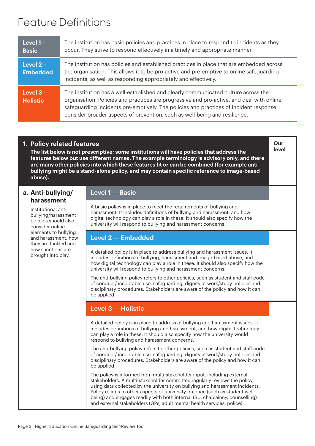## Feature Definitions

| Level $1 -$<br><b>Basic</b>    | The institution has basic policies and practices in place to respond to incidents as they<br>occur. They strive to respond effectively in a timely and appropriate manner.                                                                                                                                                                             |
|--------------------------------|--------------------------------------------------------------------------------------------------------------------------------------------------------------------------------------------------------------------------------------------------------------------------------------------------------------------------------------------------------|
| Level $2 -$<br><b>Embedded</b> | The institution has policies and established practices in place that are embedded across<br>the organisation. This allows it to be pro-active and pre-emptive to online safeguarding<br>incidents, as well as responding appropriately and effectively.                                                                                                |
| Level 3 -<br><b>Holistic</b>   | The institution has a well-established and clearly communicated culture across the<br>organisation. Policies and practices are progressive and pro-active, and deal with online<br>safeguarding incidents pre-emptively. The policies and practices of incident response<br>consider broader aspects of prevention, such as well-being and resilience. |

## **1. Policy related features**

**The list below is not prescriptive; some institutions will have policies that address the features below but use different names. The example terminology is advisory only, and there are many other policies into which these features fit or can be combined (for example antibullying might be a stand-alone policy, and may contain specific reference to image-based abuse).**

### **a. Anti-bullying/ harassment**

Institutional antibullying/harassment policies should also consider online elements to bullying and harassment, how they are tackled and how sanctions are brought into play.

## **Level 1 — Basic**

A basic policy is in place to meet the requirements of bullying and harassment. It includes definitions of bullying and harassment, and how digital technology can play a role in these. It should also specify how the university will respond to bullying and harassment concerns.

**Our level**

## **Level 2 — Embedded**

A detailed policy is in place to address bullying and harassment issues. It includes definitions of bullying, harassment and image-based abuse, and how digital technology can play a role in these. It should also specify how the university will respond to bullying and harassment concerns.

The anti-bullying policy refers to other policies, such as student and staff code of conduct/acceptable use, safeguarding, dignity at work/study policies and disciplinary procedures. Stakeholders are aware of the policy and how it can be applied.

## **Level 3 — Holistic**

A detailed policy is in place to address of bullying and harassment issues. It includes definitions of bullying and harassment, and how digital technology can play a role in these. It should also specify how the university would respond to bullying and harassment concerns.

The anti-bullying policy refers to other policies, such as student and staff code of conduct/acceptable use, safeguarding, dignity at work/study policies and disciplinary procedures. Stakeholders are aware of the policy and how it can be applied.

The policy is informed from multi-stakeholder input, including external stakeholders. A multi-stakeholder committee regularly reviews the policy, using data collected by the university on bullying and harassment incidents. Policy relates to other aspects of university practice (such as student wellbeing) and engages readily with both internal (SU, chaplaincy, counselling) and external stakeholders (GPs, adult mental health services, police).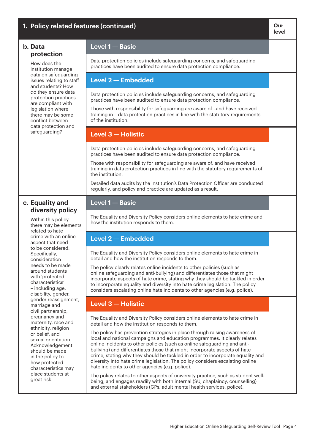| 1. Policy related features (continued)                                                                                                                                     |                                                                                                                                                                                                                                                                                                                                                                                                                                                                                                                                         | Our<br>level |
|----------------------------------------------------------------------------------------------------------------------------------------------------------------------------|-----------------------------------------------------------------------------------------------------------------------------------------------------------------------------------------------------------------------------------------------------------------------------------------------------------------------------------------------------------------------------------------------------------------------------------------------------------------------------------------------------------------------------------------|--------------|
| b. Data<br>protection                                                                                                                                                      | Level 1 - Basic                                                                                                                                                                                                                                                                                                                                                                                                                                                                                                                         |              |
| How does the<br>institution manage                                                                                                                                         | Data protection policies include safeguarding concerns, and safeguarding<br>practices have been audited to ensure data protection compliance.                                                                                                                                                                                                                                                                                                                                                                                           |              |
| data on safeguarding<br>issues relating to staff<br>and students? How                                                                                                      | Level 2 - Embedded                                                                                                                                                                                                                                                                                                                                                                                                                                                                                                                      |              |
| do they ensure data<br>protection practices                                                                                                                                | Data protection policies include safeguarding concerns, and safeguarding<br>practices have been audited to ensure data protection compliance.                                                                                                                                                                                                                                                                                                                                                                                           |              |
| are compliant with<br>legislation where<br>there may be some<br>conflict between<br>data protection and                                                                    | Those with responsibility for safeguarding are aware of -and have received<br>training in - data protection practices in line with the statutory requirements<br>of the institution.                                                                                                                                                                                                                                                                                                                                                    |              |
| safeguarding?                                                                                                                                                              | Level 3 - Holistic                                                                                                                                                                                                                                                                                                                                                                                                                                                                                                                      |              |
|                                                                                                                                                                            | Data protection policies include safeguarding concerns, and safeguarding<br>practices have been audited to ensure data protection compliance.                                                                                                                                                                                                                                                                                                                                                                                           |              |
|                                                                                                                                                                            | Those with responsibility for safeguarding are aware of, and have received<br>training in data protection practices in line with the statutory requirements of<br>the institution.                                                                                                                                                                                                                                                                                                                                                      |              |
|                                                                                                                                                                            | Detailed data audits by the institution's Data Protection Officer are conducted<br>regularly, and policy and practice are updated as a result.                                                                                                                                                                                                                                                                                                                                                                                          |              |
| c. Equality and<br>diversity policy                                                                                                                                        | Level 1 - Basic                                                                                                                                                                                                                                                                                                                                                                                                                                                                                                                         |              |
| Within this policy<br>there may be elements<br>related to hate                                                                                                             | The Equality and Diversity Policy considers online elements to hate crime and<br>how the institution responds to them.                                                                                                                                                                                                                                                                                                                                                                                                                  |              |
| crime with an online<br>aspect that need                                                                                                                                   | Level 2 - Embedded                                                                                                                                                                                                                                                                                                                                                                                                                                                                                                                      |              |
| to be considered.<br>Specifically,<br>consideration                                                                                                                        | The Equality and Diversity Policy considers online elements to hate crime in<br>detail and how the institution responds to them.                                                                                                                                                                                                                                                                                                                                                                                                        |              |
| needs to be made<br>around students<br>with 'protected<br>characteristics'<br>- including age,<br>disability, gender,                                                      | The policy clearly relates online incidents to other policies (such as<br>online safeguarding and anti-bullying) and differentiates those that might<br>incorporate aspects of hate crime, stating why they should be tackled in order<br>to incorporate equality and diversity into hate crime legislation. The policy<br>considers escalating online hate incidents to other agencies (e.g. police).                                                                                                                                  |              |
| gender reassignment,<br>marriage and<br>civil partnership,                                                                                                                 | Level 3 - Holistic                                                                                                                                                                                                                                                                                                                                                                                                                                                                                                                      |              |
| pregnancy and<br>maternity, race and<br>ethnicity, religion                                                                                                                | The Equality and Diversity Policy considers online elements to hate crime in<br>detail and how the institution responds to them.                                                                                                                                                                                                                                                                                                                                                                                                        |              |
| or belief, and<br>sexual orientation.<br>Acknowledgement<br>should be made<br>in the policy to<br>how protected<br>characteristics may<br>place students at<br>great risk. | The policy has prevention strategies in place through raising awareness of<br>local and national campaigns and education programmes. It clearly relates<br>online incidents to other policies (such as online safeguarding and anti-<br>bullying) and differentiates those that might incorporate aspects of hate<br>crime, stating why they should be tackled in order to incorporate equality and<br>diversity into hate crime legislation. The policy considers escalating online<br>hate incidents to other agencies (e.g. police). |              |
|                                                                                                                                                                            | The policy relates to other aspects of university practice, such as student well-<br>being, and engages readily with both internal (SU, chaplaincy, counselling)<br>and external stakeholders (GPs, adult mental health services, police).                                                                                                                                                                                                                                                                                              |              |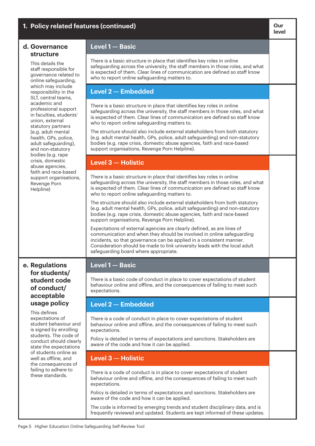| 1. Policy related features (continued)                                                                       |                                                                                                                                                                                                                                                                                                                                                | Our<br>level |
|--------------------------------------------------------------------------------------------------------------|------------------------------------------------------------------------------------------------------------------------------------------------------------------------------------------------------------------------------------------------------------------------------------------------------------------------------------------------|--------------|
| d. Governance<br>structure                                                                                   | Level 1 - Basic                                                                                                                                                                                                                                                                                                                                |              |
| This details the<br>staff responsible for<br>governance related to<br>online safeguarding,                   | There is a basic structure in place that identifies key roles in online<br>safeguarding across the university, the staff members in those roles, and what<br>is expected of them. Clear lines of communication are defined so staff know<br>who to report online safeguarding matters to.                                                      |              |
| which may include<br>responsibility in the<br>SLT, central teams,                                            | <b>Level 2-Embedded</b>                                                                                                                                                                                                                                                                                                                        |              |
| academic and<br>professional support<br>in faculties, students'<br>union, external<br>statutory partners     | There is a basic structure in place that identifies key roles in online<br>safeguarding across the university, the staff members in those roles, and what<br>is expected of them. Clear lines of communication are defined so staff know<br>who to report online safeguarding matters to.                                                      |              |
| (e.g. adult mental<br>health, GPs, police,<br>adult safeguarding),<br>and non-statutory<br>bodies (e.g. rape | The structure should also include external stakeholders from both statutory<br>(e.g. adult mental health, GPs, police, adult safeguarding) and non-statutory<br>bodies (e.g. rape crisis, domestic abuse agencies, faith and race-based<br>support organisations, Revenge Porn Helpline).                                                      |              |
| crisis, domestic<br>abuse agencies,                                                                          | Level 3 - Holistic                                                                                                                                                                                                                                                                                                                             |              |
| faith and race-based<br>support organisations,<br>Revenge Porn<br>Helpline)                                  | There is a basic structure in place that identifies key roles in online<br>safeguarding across the university, the staff members in those roles, and what<br>is expected of them. Clear lines of communication are defined so staff know<br>who to report online safeguarding matters to.                                                      |              |
|                                                                                                              | The structure should also include external stakeholders from both statutory<br>(e.g. adult mental health, GPs, police, adult safeguarding) and non-statutory<br>bodies (e.g. rape crisis, domestic abuse agencies, faith and race-based<br>support organisations, Revenge Porn Helpline).                                                      |              |
|                                                                                                              | Expectations of external agencies are clearly defined, as are lines of<br>communication and when they should be involved in online safeguarding<br>incidents, so that governance can be applied in a consistent manner.<br>Consideration should be made to link university leads with the local adult<br>safeguarding board where appropriate. |              |
| e. Regulations                                                                                               | Level 1 - Basic                                                                                                                                                                                                                                                                                                                                |              |
| for students/<br>student code<br>of conduct/<br>acceptable                                                   | There is a basic code of conduct in place to cover expectations of student<br>behaviour online and offline, and the consequences of failing to meet such<br>expectations.                                                                                                                                                                      |              |
| usage policy<br>This defines                                                                                 | <b>Level 2 - Embedded</b>                                                                                                                                                                                                                                                                                                                      |              |
| expectations of<br>student behaviour and<br>is signed by enrolling<br>students. The code of                  | There is a code of conduct in place to cover expectations of student<br>behaviour online and offline, and the consequences of failing to meet such<br>expectations.                                                                                                                                                                            |              |
| conduct should clearly<br>state the expectations                                                             | Policy is detailed in terms of expectations and sanctions. Stakeholders are<br>aware of the code and how it can be applied.                                                                                                                                                                                                                    |              |
| of students online as<br>well as offline, and<br>the consequences of                                         | Level 3 - Holistic                                                                                                                                                                                                                                                                                                                             |              |
| failing to adhere to<br>these standards.                                                                     | There is a code of conduct is in place to cover expectations of student<br>behaviour online and offline, and the consequences of failing to meet such<br>expectations.                                                                                                                                                                         |              |
|                                                                                                              | Policy is detailed in terms of expectations and sanctions. Stakeholders are<br>aware of the code and how it can be applied.                                                                                                                                                                                                                    |              |
|                                                                                                              | The code is informed by emerging trends and student disciplinary data, and is<br>frequently reviewed and updated. Students are kept informed of these updates.                                                                                                                                                                                 |              |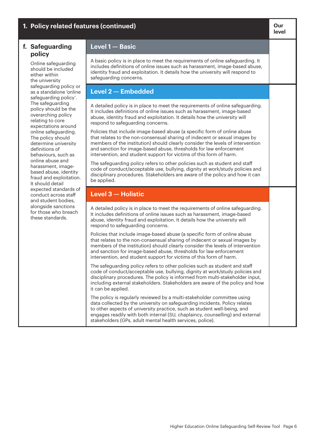#### **1.** Policy related features (continued) **Continued Continued and Continued and Continued Act and Continued and Continued and Continued and Continued and Continued and Continued and Continued and Continued and Continued level f. Safeguarding policy**  Online safeguarding should be included either within the university safeguarding policy or as a standalone 'online safeguarding policy'. The safeguarding policy should be the overarching policy relating to core expectations around online safeguarding. The policy should determine university definitions of behaviours, such as online abuse and harassment, imagebased abuse, identity fraud and exploitation. It should detail expected standards of conduct across staff and student bodies, alongside sanctions for those who breach these standards. **Level 1 — Basic** A basic policy is in place to meet the requirements of online safeguarding. It includes definitions of online issues such as harassment, image-based abuse, identity fraud and exploitation. It details how the university will respond to safeguarding concerns. **Level 2 — Embedded** A detailed policy is in place to meet the requirements of online safeguarding. It includes definitions of online issues such as harassment, image-based abuse, identity fraud and exploitation. It details how the university will respond to safeguarding concerns. Policies that include image-based abuse (a specific form of online abuse that relates to the non-consensual sharing of indecent or sexual images by members of the institution) should clearly consider the levels of intervention and sanction for image-based abuse, thresholds for law enforcement intervention, and student support for victims of this form of harm. The safeguarding policy refers to other policies such as student and staff code of conduct/acceptable use, bullying, dignity at work/study policies and disciplinary procedures. Stakeholders are aware of the policy and how it can be applied. **Level 3 — Holistic** A detailed policy is in place to meet the requirements of online safeguarding. It includes definitions of online issues such as harassment, image-based abuse, identity fraud and exploitation. It details how the university will respond to safeguarding concerns. Policies that include image-based abuse (a specific form of online abuse that relates to the non-consensual sharing of indecent or sexual images by members of the institution) should clearly consider the levels of intervention and sanction for image-based abuse, thresholds for law enforcement intervention, and student support for victims of this form of harm. The safeguarding policy refers to other policies such as student and staff code of conduct/acceptable use, bullying, dignity at work/study policies and disciplinary procedures. The policy is informed from multi-stakeholder input, including external stakeholders. Stakeholders are aware of the policy and how it can be applied. The policy is regularly reviewed by a multi-stakeholder committee using data collected by the university on safeguarding incidents. Policy relates to other aspects of university practice, such as student well-being, and engages readily with both internal (SU, chaplaincy, counselling) and external stakeholders (GPs, adult mental health services, police).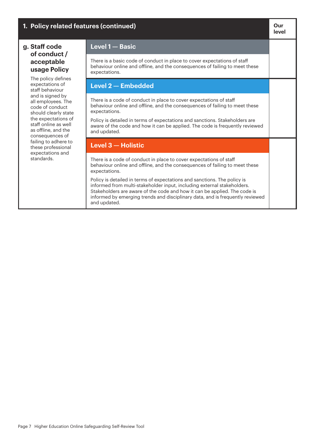| 1. Policy related features (continued)                                                                                                                                                                                                                                                                                                                                                |                                                                                                                                                                                                                                                                                                                                                   | Our<br>level |
|---------------------------------------------------------------------------------------------------------------------------------------------------------------------------------------------------------------------------------------------------------------------------------------------------------------------------------------------------------------------------------------|---------------------------------------------------------------------------------------------------------------------------------------------------------------------------------------------------------------------------------------------------------------------------------------------------------------------------------------------------|--------------|
| g. Staff code<br>of conduct /<br>acceptable<br>usage Policy<br>The policy defines<br>expectations of<br>staff behaviour<br>and is signed by<br>all employees. The<br>code of conduct<br>should clearly state<br>the expectations of<br>staff online as well<br>as offline, and the<br>consequences of<br>failing to adhere to<br>these professional<br>expectations and<br>standards. | Level 1 - Basic                                                                                                                                                                                                                                                                                                                                   |              |
|                                                                                                                                                                                                                                                                                                                                                                                       | There is a basic code of conduct in place to cover expectations of staff<br>behaviour online and offline, and the consequences of failing to meet these<br>expectations.                                                                                                                                                                          |              |
|                                                                                                                                                                                                                                                                                                                                                                                       | Level 2 - Embedded                                                                                                                                                                                                                                                                                                                                |              |
|                                                                                                                                                                                                                                                                                                                                                                                       | There is a code of conduct in place to cover expectations of staff<br>behaviour online and offline, and the consequences of failing to meet these<br>expectations.<br>Policy is detailed in terms of expectations and sanctions. Stakeholders are<br>aware of the code and how it can be applied. The code is frequently reviewed<br>and updated. |              |
|                                                                                                                                                                                                                                                                                                                                                                                       | Level 3 - Holistic                                                                                                                                                                                                                                                                                                                                |              |
|                                                                                                                                                                                                                                                                                                                                                                                       | There is a code of conduct in place to cover expectations of staff<br>behaviour online and offline, and the consequences of failing to meet these<br>expectations.                                                                                                                                                                                |              |
|                                                                                                                                                                                                                                                                                                                                                                                       | Policy is detailed in terms of expectations and sanctions. The policy is<br>informed from multi-stakeholder input, including external stakeholders.<br>Stakeholders are aware of the code and how it can be applied. The code is<br>informed by emerging trends and disciplinary data, and is frequently reviewed<br>and updated.                 |              |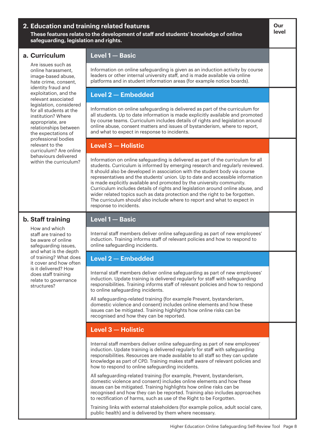|                                                | safeguarding, legislation and rights.                                                                                                                                                                                                                                                                                                                                                                                                                                                                                                                                                                                                                                                | 2. Education and training related features<br>These features relate to the development of staff and students' knowledge of online                                                                                                                                                                                                                                                    | Our<br>level |
|------------------------------------------------|--------------------------------------------------------------------------------------------------------------------------------------------------------------------------------------------------------------------------------------------------------------------------------------------------------------------------------------------------------------------------------------------------------------------------------------------------------------------------------------------------------------------------------------------------------------------------------------------------------------------------------------------------------------------------------------|--------------------------------------------------------------------------------------------------------------------------------------------------------------------------------------------------------------------------------------------------------------------------------------------------------------------------------------------------------------------------------------|--------------|
|                                                | a. Curriculum                                                                                                                                                                                                                                                                                                                                                                                                                                                                                                                                                                                                                                                                        | Level 1 - Basic                                                                                                                                                                                                                                                                                                                                                                      |              |
|                                                | Are issues such as<br>online harassment,<br>image-based abuse,<br>hate crime, consent,                                                                                                                                                                                                                                                                                                                                                                                                                                                                                                                                                                                               | Information on online safeguarding is given as an induction activity by course<br>leaders or other internal university staff, and is made available via online<br>platforms and in student information areas (for example notice boards).                                                                                                                                            |              |
|                                                | identity fraud and<br>exploitation, and the<br>relevant associated                                                                                                                                                                                                                                                                                                                                                                                                                                                                                                                                                                                                                   | <b>Level 2-Embedded</b>                                                                                                                                                                                                                                                                                                                                                              |              |
|                                                | legislation, considered<br>for all students at the<br>institution? Where<br>appropriate, are<br>relationships between<br>the expectations of                                                                                                                                                                                                                                                                                                                                                                                                                                                                                                                                         | Information on online safeguarding is delivered as part of the curriculum for<br>all students. Up to date information is made explicitly available and promoted<br>by course teams. Curriculum includes details of rights and legislation around<br>online abuse, consent matters and issues of bystanderism, where to report,<br>and what to expect in response to incidents.       |              |
|                                                | professional bodies<br>relevant to the<br>curriculum? Are online                                                                                                                                                                                                                                                                                                                                                                                                                                                                                                                                                                                                                     | Level 3 - Holistic                                                                                                                                                                                                                                                                                                                                                                   |              |
| behaviours delivered<br>within the curriculum? | Information on online safeguarding is delivered as part of the curriculum for all<br>students. Curriculum is informed by emerging research and regularly reviewed.<br>It should also be developed in association with the student body via course<br>representatives and the students' union. Up to date and accessible information<br>is made explicitly available and promoted by the university community.<br>Curriculum includes details of rights and legislation around online abuse, and<br>wider related topics such as data protection and the right to be forgotten.<br>The curriculum should also include where to report and what to expect in<br>response to incidents. |                                                                                                                                                                                                                                                                                                                                                                                      |              |
|                                                | b. Staff training                                                                                                                                                                                                                                                                                                                                                                                                                                                                                                                                                                                                                                                                    | Level 1- Basic                                                                                                                                                                                                                                                                                                                                                                       |              |
|                                                | How and which<br>staff are trained to<br>be aware of online<br>safeguarding issues,                                                                                                                                                                                                                                                                                                                                                                                                                                                                                                                                                                                                  | Internal staff members deliver online safeguarding as part of new employees'<br>induction. Training informs staff of relevant policies and how to respond to<br>online safeguarding incidents.                                                                                                                                                                                       |              |
|                                                | and what is the depth<br>of training? What does<br>it cover and how often                                                                                                                                                                                                                                                                                                                                                                                                                                                                                                                                                                                                            | Level 2 - Embedded                                                                                                                                                                                                                                                                                                                                                                   |              |
|                                                | is it delivered? How<br>does staff training<br>relate to governance<br>structures?                                                                                                                                                                                                                                                                                                                                                                                                                                                                                                                                                                                                   | Internal staff members deliver online safeguarding as part of new employees'<br>induction. Update training is delivered regularly for staff with safeguarding<br>responsibilities. Training informs staff of relevant policies and how to respond<br>to online safeguarding incidents.                                                                                               |              |
|                                                |                                                                                                                                                                                                                                                                                                                                                                                                                                                                                                                                                                                                                                                                                      | All safeguarding-related training (for example Prevent, bystanderism,<br>domestic violence and consent) includes online elements and how these<br>issues can be mitigated. Training highlights how online risks can be<br>recognised and how they can be reported.                                                                                                                   |              |
|                                                |                                                                                                                                                                                                                                                                                                                                                                                                                                                                                                                                                                                                                                                                                      | Level 3 - Holistic                                                                                                                                                                                                                                                                                                                                                                   |              |
|                                                |                                                                                                                                                                                                                                                                                                                                                                                                                                                                                                                                                                                                                                                                                      | Internal staff members deliver online safeguarding as part of new employees'<br>induction. Update training is delivered regularly for staff with safeguarding<br>responsibilities. Resources are made available to all staff so they can update<br>knowledge as part of CPD. Training makes staff aware of relevant policies and<br>how to respond to online safeguarding incidents. |              |
|                                                |                                                                                                                                                                                                                                                                                                                                                                                                                                                                                                                                                                                                                                                                                      | All safeguarding-related training (for example, Prevent, bystanderism,<br>domestic violence and consent) includes online elements and how these<br>issues can be mitigated. Training highlights how online risks can be<br>recognised and how they can be reported. Training also includes approaches<br>to rectification of harms, such as use of the Right to be Forgotten.        |              |
|                                                |                                                                                                                                                                                                                                                                                                                                                                                                                                                                                                                                                                                                                                                                                      | Training links with external stakeholders (for example police, adult social care,<br>public health) and is delivered by them where necessary.                                                                                                                                                                                                                                        |              |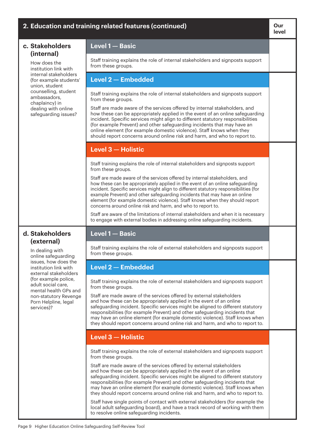| 2. Education and training related features (continued)                 |                                                                                                                                                                                                                                                                                                                                                                                                                                                                                     | Our<br>level |
|------------------------------------------------------------------------|-------------------------------------------------------------------------------------------------------------------------------------------------------------------------------------------------------------------------------------------------------------------------------------------------------------------------------------------------------------------------------------------------------------------------------------------------------------------------------------|--------------|
| c. Stakeholders<br>(internal)                                          | Level 1- Basic                                                                                                                                                                                                                                                                                                                                                                                                                                                                      |              |
| How does the<br>institution link with                                  | Staff training explains the role of internal stakeholders and signposts support<br>from these groups.                                                                                                                                                                                                                                                                                                                                                                               |              |
| internal stakeholders<br>(for example students'<br>union, student      | Level 2 - Embedded                                                                                                                                                                                                                                                                                                                                                                                                                                                                  |              |
| counselling, student<br>ambassadors,<br>chaplaincy) in                 | Staff training explains the role of internal stakeholders and signposts support<br>from these groups.                                                                                                                                                                                                                                                                                                                                                                               |              |
| dealing with online<br>safeguarding issues?                            | Staff are made aware of the services offered by internal stakeholders, and<br>how these can be appropriately applied in the event of an online safeguarding<br>incident. Specific services might align to different statutory responsibilities<br>(for example Prevent) and other safeguarding incidents that may have an<br>online element (for example domestic violence). Staff knows when they<br>should report concerns around online risk and harm, and who to report to.     |              |
|                                                                        | Level 3 - Holistic                                                                                                                                                                                                                                                                                                                                                                                                                                                                  |              |
|                                                                        | Staff training explains the role of internal stakeholders and signposts support<br>from these groups.                                                                                                                                                                                                                                                                                                                                                                               |              |
|                                                                        | Staff are made aware of the services offered by internal stakeholders, and<br>how these can be appropriately applied in the event of an online safeguarding<br>incident. Specific services might align to different statutory responsibilities (for<br>example Prevent) and other safeguarding incidents that may have an online<br>element (for example domestic violence). Staff knows when they should report<br>concerns around online risk and harm, and who to report to.     |              |
|                                                                        | Staff are aware of the limitations of internal stakeholders and when it is necessary<br>to engage with external bodies in addressing online safeguarding incidents.                                                                                                                                                                                                                                                                                                                 |              |
| d. Stakeholders<br>(external)                                          | Level 1 - Basic                                                                                                                                                                                                                                                                                                                                                                                                                                                                     |              |
| In dealing with<br>online safeguarding                                 | Staff training explains the role of external stakeholders and signposts support<br>from these groups.                                                                                                                                                                                                                                                                                                                                                                               |              |
| issues, how does the<br>institution link with<br>external stakeholders | <b>Level 2-Embedded</b>                                                                                                                                                                                                                                                                                                                                                                                                                                                             |              |
| (for example police,<br>adult social care,<br>mental health GPs and    | Staff training explains the role of external stakeholders and signposts support<br>from these groups.                                                                                                                                                                                                                                                                                                                                                                               |              |
| non-statutory Revenge<br>Porn Helpline, legal<br>services)?            | Staff are made aware of the services offered by external stakeholders<br>and how these can be appropriately applied in the event of an online<br>safeguarding incident. Specific services might be aligned to different statutory<br>responsibilities (for example Prevent) and other safeguarding incidents that<br>may have an online element (for example domestic violence). Staff knows when<br>they should report concerns around online risk and harm, and who to report to. |              |
|                                                                        | Level 3 - Holistic                                                                                                                                                                                                                                                                                                                                                                                                                                                                  |              |
|                                                                        | Staff training explains the role of external stakeholders and signposts support<br>from these groups.                                                                                                                                                                                                                                                                                                                                                                               |              |
|                                                                        | Staff are made aware of the services offered by external stakeholders<br>and how these can be appropriately applied in the event of an online<br>safeguarding incident. Specific services might be aligned to different statutory<br>responsibilities (for example Prevent) and other safeguarding incidents that<br>may have an online element (for example domestic violence). Staff knows when<br>they should report concerns around online risk and harm, and who to report to. |              |
|                                                                        | Staff have single points of contact with external stakeholders (for example the<br>local adult safeguarding board), and have a track record of working with them<br>to resolve online safeguarding incidents.                                                                                                                                                                                                                                                                       |              |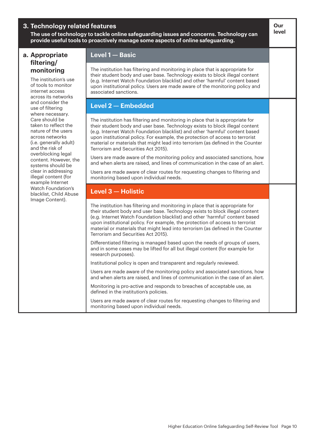## **3. Technology related features**

**The use of technology to tackle online safeguarding issues and concerns. Technology can provide useful tools to proactively manage some aspects of online safeguarding.** 

## **a. Appropriate filtering/ monitoring**

The institution's use of tools to monitor internet access across its networks and consider the use of filtering where necessary. Care should be taken to reflect the nature of the users across networks (i.e. generally adult) and the risk of overblocking legal content. However, the systems should be clear in addressing illegal content (for example Internet Watch Foundation's blacklist, Child Abuse Image Content).

### **Level 1 — Basic**

The institution has filtering and monitoring in place that is appropriate for their student body and user base. Technology exists to block illegal content (e.g. Internet Watch Foundation blacklist) and other 'harmful' content based upon institutional policy. Users are made aware of the monitoring policy and associated sanctions.

**Our level**

## **Level 2 — Embedded**

The institution has filtering and monitoring in place that is appropriate for their student body and user base. Technology exists to block illegal content (e.g. Internet Watch Foundation blacklist) and other 'harmful' content based upon institutional policy. For example, the protection of access to terrorist material or materials that might lead into terrorism (as defined in the Counter Terrorism and Securities Act 2015).

Users are made aware of the monitoring policy and associated sanctions, how and when alerts are raised, and lines of communication in the case of an alert.

Users are made aware of clear routes for requesting changes to filtering and monitoring based upon individual needs.

## **Level 3 — Holistic**

The institution has filtering and monitoring in place that is appropriate for their student body and user base. Technology exists to block illegal content (e.g. Internet Watch Foundation blacklist) and other 'harmful' content based upon institutional policy. For example, the protection of access to terrorist material or materials that might lead into terrorism (as defined in the Counter Terrorism and Securities Act 2015).

Differentiated filtering is managed based upon the needs of groups of users, and in some cases may be lifted for all but illegal content (for example for research purposes).

Institutional policy is open and transparent and regularly reviewed.

Users are made aware of the monitoring policy and associated sanctions, how and when alerts are raised, and lines of communication in the case of an alert.

Monitoring is pro-active and responds to breaches of acceptable use, as defined in the institution's policies.

Users are made aware of clear routes for requesting changes to filtering and monitoring based upon individual needs.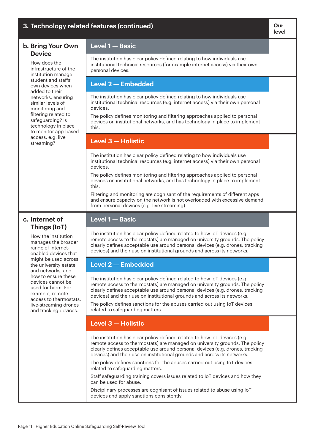| 3. Technology related features (continued)                                                                              |                                                                                                                                                                                                                                                                                                                                      | Our<br>level |
|-------------------------------------------------------------------------------------------------------------------------|--------------------------------------------------------------------------------------------------------------------------------------------------------------------------------------------------------------------------------------------------------------------------------------------------------------------------------------|--------------|
| b. Bring Your Own<br><b>Device</b>                                                                                      | Level 1- Basic                                                                                                                                                                                                                                                                                                                       |              |
| How does the<br>infrastructure of the<br>institution manage                                                             | The institution has clear policy defined relating to how individuals use<br>institutional technical resources (for example internet access) via their own<br>personal devices.                                                                                                                                                       |              |
| student and staffs'<br>own devices when                                                                                 | Level 2 - Embedded                                                                                                                                                                                                                                                                                                                   |              |
| added to their<br>networks, ensuring<br>similar levels of<br>monitoring and<br>filtering related to<br>safeguarding? Is | The institution has clear policy defined relating to how individuals use<br>institutional technical resources (e.g. internet access) via their own personal<br>devices.<br>The policy defines monitoring and filtering approaches applied to personal<br>devices on institutional networks, and has technology in place to implement |              |
| technology in place<br>to monitor app-based                                                                             | this.                                                                                                                                                                                                                                                                                                                                |              |
| access, e.g. live<br>streaming?                                                                                         | Level 3 - Holistic                                                                                                                                                                                                                                                                                                                   |              |
|                                                                                                                         | The institution has clear policy defined relating to how individuals use<br>institutional technical resources (e.g. internet access) via their own personal<br>devices.                                                                                                                                                              |              |
|                                                                                                                         | The policy defines monitoring and filtering approaches applied to personal<br>devices on institutional networks, and has technology in place to implement<br>this.                                                                                                                                                                   |              |
|                                                                                                                         | Filtering and monitoring are cognisant of the requirements of different apps<br>and ensure capacity on the network is not overloaded with excessive demand<br>from personal devices (e.g. live streaming).                                                                                                                           |              |
| c. Internet of                                                                                                          | Level 1- Basic                                                                                                                                                                                                                                                                                                                       |              |
|                                                                                                                         |                                                                                                                                                                                                                                                                                                                                      |              |
| Things (IoT)<br>How the institution<br>manages the broader<br>range of internet-<br>enabled devices that                | The institution has clear policy defined related to how IoT devices (e.g.<br>remote access to thermostats) are managed on university grounds. The policy<br>clearly defines acceptable use around personal devices (e.g. drones, tracking<br>devices) and their use on institutional grounds and across its networks.                |              |
| might be used across<br>the university estate                                                                           | Level 2 - Embedded                                                                                                                                                                                                                                                                                                                   |              |
| and networks, and<br>how to ensure these<br>devices cannot be<br>used for harm. For<br>example, remote                  | The institution has clear policy defined related to how IoT devices (e.g.<br>remote access to thermostats) are managed on university grounds. The policy<br>clearly defines acceptable use around personal devices (e.g. drones, tracking<br>devices) and their use on institutional grounds and across its networks.                |              |
| access to thermostats,<br>live-streaming drones<br>and tracking devices.                                                | The policy defines sanctions for the abuses carried out using IoT devices<br>related to safeguarding matters.                                                                                                                                                                                                                        |              |
|                                                                                                                         | Level 3 - Holistic                                                                                                                                                                                                                                                                                                                   |              |
|                                                                                                                         | The institution has clear policy defined related to how IoT devices (e.g.<br>remote access to thermostats) are managed on university grounds. The policy<br>clearly defines acceptable use around personal devices (e.g. drones, tracking<br>devices) and their use on institutional grounds and across its networks.                |              |
|                                                                                                                         | The policy defines sanctions for the abuses carried out using IoT devices<br>related to safeguarding matters.                                                                                                                                                                                                                        |              |
|                                                                                                                         | Staff safeguarding training covers issues related to IoT devices and how they<br>can be used for abuse.                                                                                                                                                                                                                              |              |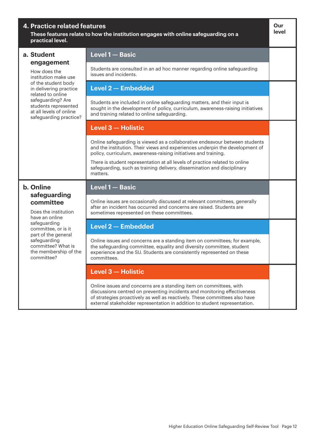| <b>4. Practice related features</b><br>These features relate to how the institution engages with online safeguarding on a<br>practical level. |                                                                                                                                                                                                                                                                                                             | Our<br>level |
|-----------------------------------------------------------------------------------------------------------------------------------------------|-------------------------------------------------------------------------------------------------------------------------------------------------------------------------------------------------------------------------------------------------------------------------------------------------------------|--------------|
| a. Student                                                                                                                                    | Level 1- Basic                                                                                                                                                                                                                                                                                              |              |
| engagement<br>How does the<br>institution make use                                                                                            | Students are consulted in an ad hoc manner regarding online safeguarding<br>issues and incidents.                                                                                                                                                                                                           |              |
| of the student body<br>in delivering practice<br>related to online                                                                            | Level 2 - Embedded                                                                                                                                                                                                                                                                                          |              |
| safeguarding? Are<br>students represented<br>at all levels of online<br>safeguarding practice?                                                | Students are included in online safeguarding matters, and their input is<br>sought in the development of policy, curriculum, awareness-raising initiatives<br>and training related to online safeguarding.                                                                                                  |              |
|                                                                                                                                               | Level 3 - Holistic                                                                                                                                                                                                                                                                                          |              |
|                                                                                                                                               | Online safeguarding is viewed as a collaborative endeavour between students<br>and the institution. Their views and experiences underpin the development of<br>policy, curriculum, awareness-raising initiatives and training.                                                                              |              |
|                                                                                                                                               | There is student representation at all levels of practice related to online<br>safeguarding, such as training delivery, dissemination and disciplinary<br>matters.                                                                                                                                          |              |
| b. Online<br>safeguarding                                                                                                                     | Level 1- Basic                                                                                                                                                                                                                                                                                              |              |
| committee<br>Does the institution<br>have an online                                                                                           | Online issues are occasionally discussed at relevant committees, generally<br>after an incident has occurred and concerns are raised. Students are<br>sometimes represented on these committees.                                                                                                            |              |
| safeguarding<br>committee, or is it                                                                                                           | <b>Level 2 - Embedded</b>                                                                                                                                                                                                                                                                                   |              |
| part of the general<br>safeguarding<br>committee? What is<br>the membership of the<br>committee?                                              | Online issues and concerns are a standing item on committees; for example,<br>the safeguarding committee, equality and diversity committee, student<br>experience and the SU. Students are consistently represented on these<br>committees.                                                                 |              |
|                                                                                                                                               | <b>Level 3 - Holistic</b>                                                                                                                                                                                                                                                                                   |              |
|                                                                                                                                               | Online issues and concerns are a standing item on committees, with<br>discussions centred on preventing incidents and monitoring effectiveness<br>of strategies proactively as well as reactively. These committees also have<br>external stakeholder representation in addition to student representation. |              |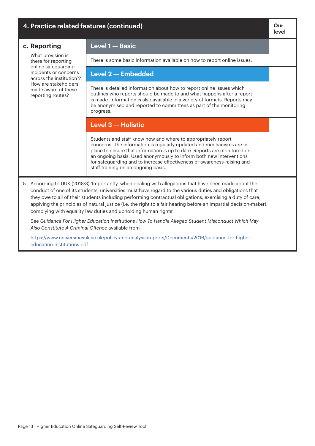| 4. Practice related features (continued)                         |                                                                                                                                                                                                                                                                                                                                                                                                                                                                                                                       | Our<br>level |
|------------------------------------------------------------------|-----------------------------------------------------------------------------------------------------------------------------------------------------------------------------------------------------------------------------------------------------------------------------------------------------------------------------------------------------------------------------------------------------------------------------------------------------------------------------------------------------------------------|--------------|
| c. Reporting                                                     | Level 1- Basic                                                                                                                                                                                                                                                                                                                                                                                                                                                                                                        |              |
| What provision is<br>there for reporting<br>online safeguarding  | There is some basic information available on how to report online issues.                                                                                                                                                                                                                                                                                                                                                                                                                                             |              |
| incidents or concerns<br>across the institution <sup>5</sup> ?   | Level 2 - Embedded                                                                                                                                                                                                                                                                                                                                                                                                                                                                                                    |              |
| How are stakeholders<br>made aware of these<br>reporting routes? | There is detailed information about how to report online issues which<br>outlines who reports should be made to and what happens after a report<br>is made. Information is also available in a variety of formats. Reports may<br>be anonymised and reported to committees as part of the monitoring<br>progress.                                                                                                                                                                                                     |              |
|                                                                  | Level 3 - Holistic                                                                                                                                                                                                                                                                                                                                                                                                                                                                                                    |              |
|                                                                  | Students and staff know how and where to appropriately report<br>concerns. The information is regularly updated and mechanisms are in<br>place to ensure that information is up to date. Reports are monitored on<br>an ongoing basis. Used anonymously to inform both new interventions<br>for safeguarding and to increase effectiveness of awareness-raising and<br>staff training on an ongoing basis.                                                                                                            |              |
| 5                                                                | According to UUK (2018:3) 'Importantly, when dealing with allegations that have been made about the<br>conduct of one of its students, universities must have regard to the various duties and obligations that<br>they owe to all of their students including performing contractual obligations, exercising a duty of care,<br>applying the principles of natural justice (i.e. the right to a fair hearing before an impartial decision-maker),<br>complying with equality law duties and upholding human rights'. |              |
| Also Constitute A Criminal Offence available from                | See Guidance For Higher Education Institutions How To Handle Alleged Student Misconduct Which May                                                                                                                                                                                                                                                                                                                                                                                                                     |              |

[https://www.universitiesuk.ac.uk/policy-and-analysis/reports/Documents/2016/guidance-for-higher](https://www.universitiesuk.ac.uk/policy-and-analysis/reports/Documents/2016/guidance-for-higher-education-institutions.pdf)[education-institutions.pdf](https://www.universitiesuk.ac.uk/policy-and-analysis/reports/Documents/2016/guidance-for-higher-education-institutions.pdf)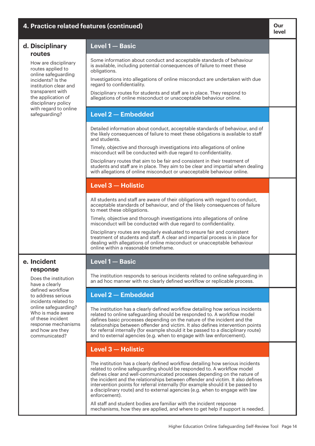| 4. Practice related features (continued)                                                                                   |                                                                                                                                                                                                                                                                                                                                                                                                                                                                                                              | Our<br>level |
|----------------------------------------------------------------------------------------------------------------------------|--------------------------------------------------------------------------------------------------------------------------------------------------------------------------------------------------------------------------------------------------------------------------------------------------------------------------------------------------------------------------------------------------------------------------------------------------------------------------------------------------------------|--------------|
| d. Disciplinary                                                                                                            | Level 1 - Basic                                                                                                                                                                                                                                                                                                                                                                                                                                                                                              |              |
| routes<br>How are disciplinary<br>routes applied to                                                                        | Some information about conduct and acceptable standards of behaviour<br>is available, including potential consequences of failure to meet these<br>obligations.                                                                                                                                                                                                                                                                                                                                              |              |
| online safeguarding<br>incidents? Is the<br>institution clear and                                                          | Investigations into allegations of online misconduct are undertaken with due<br>regard to confidentiality.                                                                                                                                                                                                                                                                                                                                                                                                   |              |
| transparent with<br>the application of<br>disciplinary policy                                                              | Disciplinary routes for students and staff are in place. They respond to<br>allegations of online misconduct or unacceptable behaviour online.                                                                                                                                                                                                                                                                                                                                                               |              |
| with regard to online<br>safeguarding?                                                                                     | <b>Level 2-Embedded</b>                                                                                                                                                                                                                                                                                                                                                                                                                                                                                      |              |
|                                                                                                                            | Detailed information about conduct, acceptable standards of behaviour, and of<br>the likely consequences of failure to meet these obligations is available to staff<br>and students.                                                                                                                                                                                                                                                                                                                         |              |
|                                                                                                                            | Timely, objective and thorough investigations into allegations of online<br>misconduct will be conducted with due regard to confidentiality.                                                                                                                                                                                                                                                                                                                                                                 |              |
|                                                                                                                            | Disciplinary routes that aim to be fair and consistent in their treatment of<br>students and staff are in place. They aim to be clear and impartial when dealing<br>with allegations of online misconduct or unacceptable behaviour online.                                                                                                                                                                                                                                                                  |              |
|                                                                                                                            | Level 3 - Holistic                                                                                                                                                                                                                                                                                                                                                                                                                                                                                           |              |
|                                                                                                                            | All students and staff are aware of their obligations with regard to conduct,<br>acceptable standards of behaviour, and of the likely consequences of failure<br>to meet these obligations.                                                                                                                                                                                                                                                                                                                  |              |
|                                                                                                                            | Timely, objective and thorough investigations into allegations of online<br>misconduct will be conducted with due regard to confidentiality.                                                                                                                                                                                                                                                                                                                                                                 |              |
|                                                                                                                            | Disciplinary routes are regularly evaluated to ensure fair and consistent<br>treatment of students and staff. A clear and impartial process is in place for<br>dealing with allegations of online misconduct or unacceptable behaviour<br>online within a reasonable timeframe.                                                                                                                                                                                                                              |              |
| e. Incident<br>response                                                                                                    | Level 1 - Basic                                                                                                                                                                                                                                                                                                                                                                                                                                                                                              |              |
| Does the institution<br>have a clearly                                                                                     | The institution responds to serious incidents related to online safeguarding in<br>an ad hoc manner with no clearly defined workflow or replicable process.                                                                                                                                                                                                                                                                                                                                                  |              |
| defined workflow<br>to address serious<br>incidents related to                                                             | Level 2 - Embedded                                                                                                                                                                                                                                                                                                                                                                                                                                                                                           |              |
| online safeguarding?<br>Who is made aware<br>of these incident<br>response mechanisms<br>and how are they<br>communicated? | The institution has a clearly defined workflow detailing how serious incidents<br>related to online safeguarding should be responded to. A workflow model<br>defines basic processes depending on the nature of the incident and the<br>relationships between offender and victim. It also defines intervention points<br>for referral internally (for example should it be passed to a disciplinary route)<br>and to external agencies (e.g. when to engage with law enforcement).                          |              |
|                                                                                                                            | Level 3 - Holistic                                                                                                                                                                                                                                                                                                                                                                                                                                                                                           |              |
|                                                                                                                            | The institution has a clearly defined workflow detailing how serious incidents<br>related to online safeguarding should be responded to. A workflow model<br>defines clear and well-communicated processes depending on the nature of<br>the incident and the relationships between offender and victim. It also defines<br>intervention points for referral internally (for example should it be passed to<br>a disciplinary route) and to external agencies (e.g. when to engage with law<br>enforcement). |              |
|                                                                                                                            | All staff and student bodies are familiar with the incident response<br>mechanisms, how they are applied, and where to get help if support is needed.                                                                                                                                                                                                                                                                                                                                                        |              |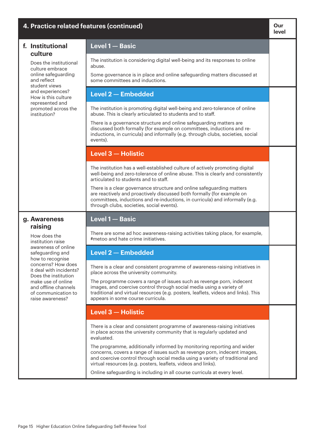| 4. Practice related features (continued)                                                                                                                                                                                                                                                      |                                                                                                                                                                                                                                                                                                      |  |
|-----------------------------------------------------------------------------------------------------------------------------------------------------------------------------------------------------------------------------------------------------------------------------------------------|------------------------------------------------------------------------------------------------------------------------------------------------------------------------------------------------------------------------------------------------------------------------------------------------------|--|
| f. Institutional<br>culture<br>Does the institutional<br>culture embrace<br>online safeguarding<br>and reflect<br>student views<br>and experiences?<br>How is this culture<br>represented and<br>promoted across the<br>institution?                                                          | Level 1- Basic                                                                                                                                                                                                                                                                                       |  |
|                                                                                                                                                                                                                                                                                               | The institution is considering digital well-being and its responses to online<br>abuse.                                                                                                                                                                                                              |  |
|                                                                                                                                                                                                                                                                                               | Some governance is in place and online safeguarding matters discussed at<br>some committees and inductions.                                                                                                                                                                                          |  |
|                                                                                                                                                                                                                                                                                               | Level 2 - Embedded                                                                                                                                                                                                                                                                                   |  |
|                                                                                                                                                                                                                                                                                               | The institution is promoting digital well-being and zero-tolerance of online<br>abuse. This is clearly articulated to students and to staff.                                                                                                                                                         |  |
|                                                                                                                                                                                                                                                                                               | There is a governance structure and online safeguarding matters are<br>discussed both formally (for example on committees, inductions and re-<br>inductions, in curricula) and informally (e.g. through clubs, societies, social<br>events).                                                         |  |
|                                                                                                                                                                                                                                                                                               | Level 3 - Holistic                                                                                                                                                                                                                                                                                   |  |
|                                                                                                                                                                                                                                                                                               | The institution has a well-established culture of actively promoting digital<br>well-being and zero-tolerance of online abuse. This is clearly and consistently<br>articulated to students and to staff.                                                                                             |  |
|                                                                                                                                                                                                                                                                                               | There is a clear governance structure and online safeguarding matters<br>are reactively and proactively discussed both formally (for example on<br>committees, inductions and re-inductions, in curricula) and informally (e.g.<br>through clubs, societies, social events).                         |  |
| g. Awareness<br>raising<br>How does the<br>institution raise<br>awareness of online<br>safeguarding and<br>how to recognise<br>concerns? How does<br>it deal with incidents?<br>Does the institution<br>make use of online<br>and offline channels<br>of communication to<br>raise awareness? | Level 1 - Basic                                                                                                                                                                                                                                                                                      |  |
|                                                                                                                                                                                                                                                                                               | There are some ad hoc awareness-raising activities taking place, for example,<br>#metoo and hate crime initiatives.                                                                                                                                                                                  |  |
|                                                                                                                                                                                                                                                                                               | <b>Level 2 - Embedded</b>                                                                                                                                                                                                                                                                            |  |
|                                                                                                                                                                                                                                                                                               | There is a clear and consistent programme of awareness-raising initiatives in<br>place across the university community.                                                                                                                                                                              |  |
|                                                                                                                                                                                                                                                                                               | The programme covers a range of issues such as revenge porn, indecent<br>images, and coercive control through social media using a variety of<br>traditional and virtual resources (e.g. posters, leaflets, videos and links). This<br>appears in some course curricula.                             |  |
|                                                                                                                                                                                                                                                                                               | Level 3 - Holistic                                                                                                                                                                                                                                                                                   |  |
|                                                                                                                                                                                                                                                                                               | There is a clear and consistent programme of awareness-raising initiatives<br>in place across the university community that is regularly updated and<br>evaluated.                                                                                                                                   |  |
|                                                                                                                                                                                                                                                                                               | The programme, additionally informed by monitoring reporting and wider<br>concerns, covers a range of issues such as revenge porn, indecent images,<br>and coercive control through social media using a variety of traditional and<br>virtual resources (e.g. posters, leaflets, videos and links). |  |
|                                                                                                                                                                                                                                                                                               | Online safeguarding is including in all course curricula at every level.                                                                                                                                                                                                                             |  |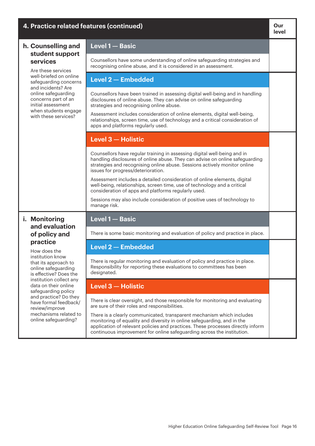| 4. Practice related features (continued)                                                                                                                                                                                                                                                                                                                                 |                                                                                                                                                                                                                                                                                                               | Our<br>level |
|--------------------------------------------------------------------------------------------------------------------------------------------------------------------------------------------------------------------------------------------------------------------------------------------------------------------------------------------------------------------------|---------------------------------------------------------------------------------------------------------------------------------------------------------------------------------------------------------------------------------------------------------------------------------------------------------------|--------------|
| h. Counselling and<br>student support<br>services<br>Are these services<br>well-briefed on online<br>safeguarding concerns<br>and incidents? Are<br>online safeguarding<br>concerns part of an<br>initial assessment<br>when students engage<br>with these services?                                                                                                     | Level 1 - Basic                                                                                                                                                                                                                                                                                               |              |
|                                                                                                                                                                                                                                                                                                                                                                          | Counsellors have some understanding of online safeguarding strategies and<br>recognising online abuse, and it is considered in an assessment.                                                                                                                                                                 |              |
|                                                                                                                                                                                                                                                                                                                                                                          | <b>Level 2 - Embedded</b>                                                                                                                                                                                                                                                                                     |              |
|                                                                                                                                                                                                                                                                                                                                                                          | Counsellors have been trained in assessing digital well-being and in handling<br>disclosures of online abuse. They can advise on online safeguarding<br>strategies and recognising online abuse.                                                                                                              |              |
|                                                                                                                                                                                                                                                                                                                                                                          | Assessment includes consideration of online elements, digital well-being,<br>relationships, screen time, use of technology and a critical consideration of<br>apps and platforms regularly used.                                                                                                              |              |
|                                                                                                                                                                                                                                                                                                                                                                          | Level 3 - Holistic                                                                                                                                                                                                                                                                                            |              |
|                                                                                                                                                                                                                                                                                                                                                                          | Counsellors have regular training in assessing digital well-being and in<br>handling disclosures of online abuse. They can advise on online safeguarding<br>strategies and recognising online abuse. Sessions actively monitor online<br>issues for progress/deterioration.                                   |              |
|                                                                                                                                                                                                                                                                                                                                                                          | Assessment includes a detailed consideration of online elements, digital<br>well-being, relationships, screen time, use of technology and a critical<br>consideration of apps and platforms regularly used.                                                                                                   |              |
|                                                                                                                                                                                                                                                                                                                                                                          | Sessions may also include consideration of positive uses of technology to<br>manage risk.                                                                                                                                                                                                                     |              |
| i. Monitoring<br>and evaluation<br>of policy and<br>practice<br>How does the<br>institution know<br>that its approach to<br>online safeguarding<br>is effective? Does the<br>institution collect any<br>data on their online<br>safeguarding policy<br>and practice? Do they<br>have formal feedback/<br>review/improve<br>mechanisms related to<br>online safeguarding? | Level 1 - Basic                                                                                                                                                                                                                                                                                               |              |
|                                                                                                                                                                                                                                                                                                                                                                          | There is some basic monitoring and evaluation of policy and practice in place.                                                                                                                                                                                                                                |              |
|                                                                                                                                                                                                                                                                                                                                                                          | Level 2 - Embedded                                                                                                                                                                                                                                                                                            |              |
|                                                                                                                                                                                                                                                                                                                                                                          | There is regular monitoring and evaluation of policy and practice in place.<br>Responsibility for reporting these evaluations to committees has been<br>designated.                                                                                                                                           |              |
|                                                                                                                                                                                                                                                                                                                                                                          | Level 3 - Holistic                                                                                                                                                                                                                                                                                            |              |
|                                                                                                                                                                                                                                                                                                                                                                          | There is clear oversight, and those responsible for monitoring and evaluating<br>are sure of their roles and responsibilities.                                                                                                                                                                                |              |
|                                                                                                                                                                                                                                                                                                                                                                          | There is a clearly communicated, transparent mechanism which includes<br>monitoring of equality and diversity in online safeguarding, and in the<br>application of relevant policies and practices. These processes directly inform<br>continuous improvement for online safeguarding across the institution. |              |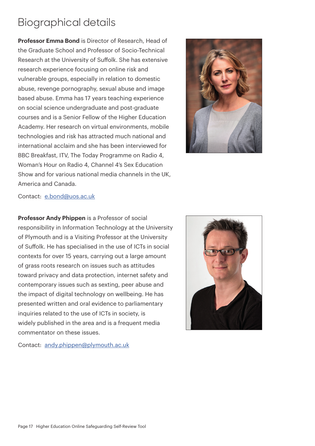## Biographical details

**Professor Emma Bond** is Director of Research, Head of the Graduate School and Professor of Socio-Technical Research at the University of Suffolk. She has extensive research experience focusing on online risk and vulnerable groups, especially in relation to domestic abuse, revenge pornography, sexual abuse and image based abuse. Emma has 17 years teaching experience on social science undergraduate and post-graduate courses and is a Senior Fellow of the Higher Education Academy. Her research on virtual environments, mobile technologies and risk has attracted much national and international acclaim and she has been interviewed for BBC Breakfast, ITV, The Today Programme on Radio 4, Woman's Hour on Radio 4, Channel 4's Sex Education Show and for various national media channels in the UK, America and Canada.



## Contact: [e.bond@uos.ac.uk](mailto:e.bond%40uos.ac.uk?subject=)

**Professor Andy Phippen** is a Professor of social responsibility in Information Technology at the University of Plymouth and is a Visiting Professor at the University of Suffolk. He has specialised in the use of ICTs in social contexts for over 15 years, carrying out a large amount of grass roots research on issues such as attitudes toward privacy and data protection, internet safety and contemporary issues such as sexting, peer abuse and the impact of digital technology on wellbeing. He has presented written and oral evidence to parliamentary inquiries related to the use of ICTs in society, is widely published in the area and is a frequent media commentator on these issues.



Contact: [andy.phippen@plymouth.ac.uk](mailto:andy.phippen%40plymouth.ac.uk?subject=)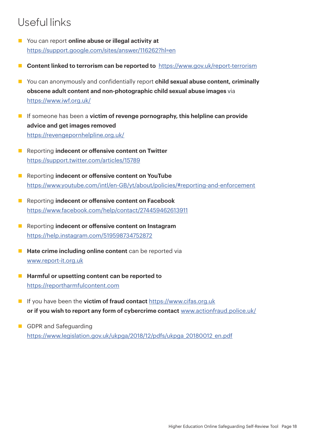## Useful links

- n You can report **online abuse or illegal activity at** <https://support.google.com/sites/answer/116262?hl=en>
- **Content linked to terrorism can be reported to** <https://www.gov.uk/report-terrorism>
- You can anonymously and confidentially report **child sexual abuse content, criminally obscene adult content and non-photographic child sexual abuse images** via [https://www.iwf.org.uk/](https://www.iwf.org.uk/ )
- **n** If someone has been a **victim of revenge pornography, this helpline can provide advice and get images removed** [https://revengepornhelpline.org.uk/](https://revengepornhelpline.org.uk/ )
- **n** Reporting **indecent or offensive content on Twitter** <https://support.twitter.com/articles/15789>
- **n** Reporting **indecent or offensive content on YouTube** <https://www.youtube.com/intl/en-GB/yt/about/policies/#reporting-and-enforcement>
- **n** Reporting **indecent or offensive content on Facebook** <https://www.facebook.com/help/contact/274459462613911>
- **n** Reporting **indecent or offensive content on Instagram** <https://help.instagram.com/519598734752872>
- **Hate crime including online content** can be reported via [www.report-it.org.uk](http://www.report-it.org.uk)
- Harmful or upsetting content can be reported to <https://reportharmfulcontent.com>
- **n** If you have been the **victim of fraud contact** <https://www.cifas.org.uk> **or if you wish to report any form of cybercrime contact** [www.actionfraud.police.uk/](http://www.actionfraud.police.uk/)
- **n** GDPR and Safeguarding [https://www.legislation.gov.uk/ukpga/2018/12/pdfs/ukpga\\_20180012\\_en.pdf](https://www.legislation.gov.uk/ukpga/2018/12/pdfs/ukpga_20180012_en.pdf)